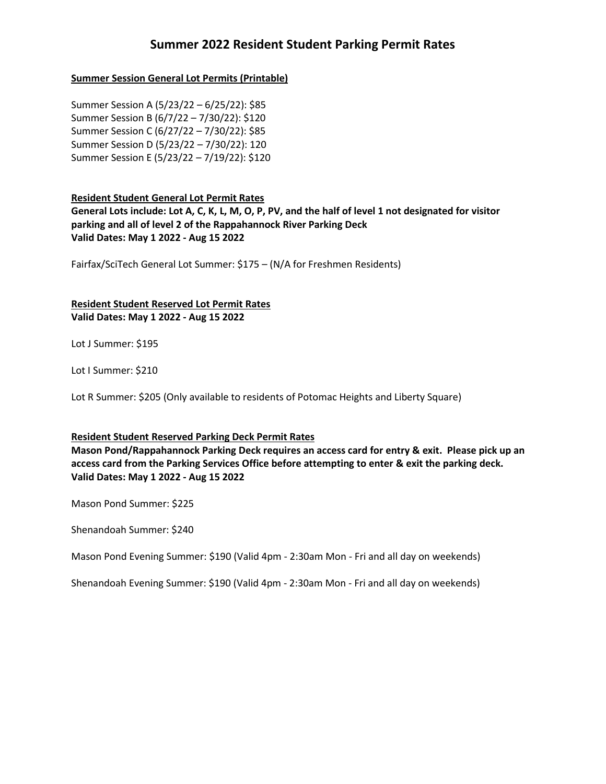# **Summer 2022 Resident Student Parking Permit Rates**

### **Summer Session General Lot Permits (Printable)**

Summer Session A (5/23/22 – 6/25/22): \$85 Summer Session B (6/7/22 – 7/30/22): \$120 Summer Session C (6/27/22 – 7/30/22): \$85 Summer Session D (5/23/22 – 7/30/22): 120 Summer Session E (5/23/22 – 7/19/22): \$120

### **Resident Student General Lot Permit Rates**

**General Lots include: Lot A, C, K, L, M, O, P, PV, and the half of level 1 not designated for visitor parking and all of level 2 of the Rappahannock River Parking Deck Valid Dates: May 1 2022 - Aug 15 2022**

Fairfax/SciTech General Lot Summer: \$175 – (N/A for Freshmen Residents)

### **Resident Student Reserved Lot Permit Rates Valid Dates: May 1 2022 - Aug 15 2022**

Lot J Summer: \$195

Lot I Summer: \$210

Lot R Summer: \$205 (Only available to residents of Potomac Heights and Liberty Square)

#### **Resident Student Reserved Parking Deck Permit Rates**

**Mason Pond/Rappahannock Parking Deck requires an access card for entry & exit. Please pick up an access card from the Parking Services Office before attempting to enter & exit the parking deck. Valid Dates: May 1 2022 - Aug 15 2022**

Mason Pond Summer: \$225

Shenandoah Summer: \$240

Mason Pond Evening Summer: \$190 (Valid 4pm - 2:30am Mon - Fri and all day on weekends)

Shenandoah Evening Summer: \$190 (Valid 4pm - 2:30am Mon - Fri and all day on weekends)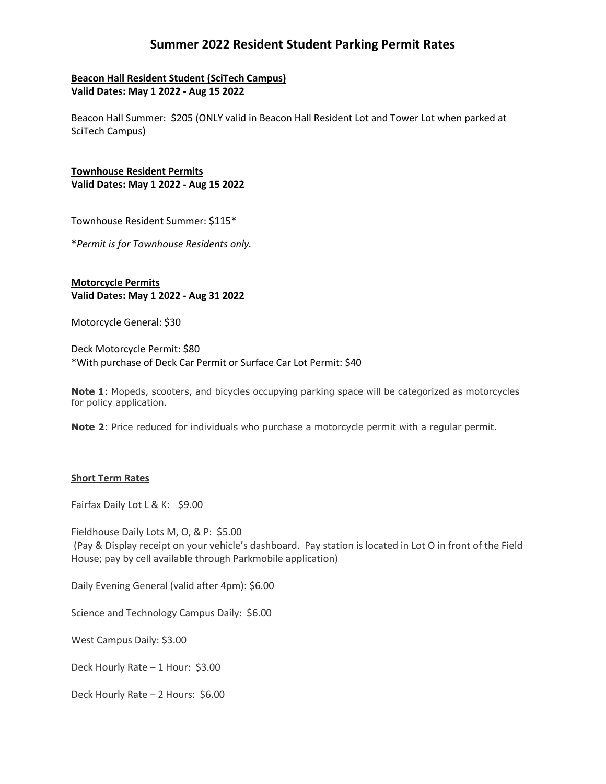# **Summer 2022 Resident Student Parking Permit Rates**

## **Beacon Hall Resident Student (SciTech Campus) Valid Dates: May 1 2022 - Aug 15 2022**

Beacon Hall Summer: \$205 (ONLY valid in Beacon Hall Resident Lot and Tower Lot when parked at SciTech Campus)

**Townhouse Resident Permits Valid Dates: May 1 2022 - Aug 15 2022**

Townhouse Resident Summer: \$115\*

\**Permit is for Townhouse Residents only.*

**Motorcycle Permits Valid Dates: May 1 2022 - Aug 31 2022**

Motorcycle General: \$30

Deck Motorcycle Permit: \$80 \*With purchase of Deck Car Permit or Surface Car Lot Permit: \$40

**Note 1**: Mopeds, scooters, and bicycles occupying parking space will be categorized as motorcycles for policy application.

**Note 2**: Price reduced for individuals who purchase a motorcycle permit with a regular permit.

#### **Short Term Rates**

Fairfax Daily Lot L & K: \$9.00

Fieldhouse Daily Lots M, O, & P: \$5.00 (Pay & Display receipt on your vehicle's dashboard. Pay station is located in Lot O in front of the Field House; pay by cell available through Parkmobile application)

Daily Evening General (valid after 4pm): \$6.00

Science and Technology Campus Daily: \$6.00

West Campus Daily: \$3.00

Deck Hourly Rate – 1 Hour: \$3.00

Deck Hourly Rate – 2 Hours: \$6.00